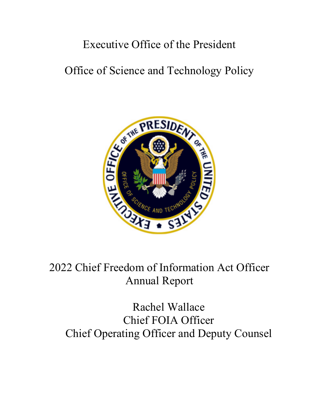## Executive Office of the President

# Office of Science and Technology Policy



# 2022 Chief Freedom of Information Act Officer Annual Report

# Rachel Wallace Chief FOIA Officer Chief Operating Officer and Deputy Counsel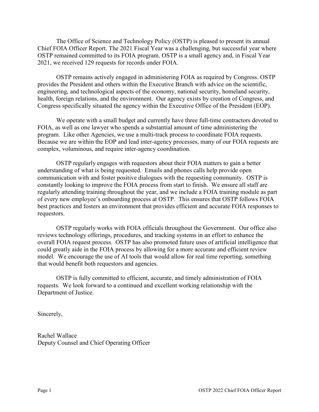The Office of Science and Technology Policy (OSTP) is pleased to present its annual Chief FOIA Officer Report. The 2021 Fiscal Year was a challenging, but successful year where OSTP remained committed to its FOIA program. OSTP is a small agency and, in Fiscal Year 2021, we received 129 requests for records under FOIA.

OSTP remains actively engaged in administering FOIA as required by Congress. OSTP provides the President and others within the Executive Branch with advice on the scientific, engineering, and technological aspects of the economy, national security, homeland security, health, foreign relations, and the environment. Our agency exists by creation of Congress, and Congress specifically situated the agency within the Executive Office of the President (EOP).

We operate with a small budget and currently have three full-time contractors devoted to FOIA, as well as one lawyer who spends a substantial amount of time administering the program. Like other Agencies, we use a multi-track process to coordinate FOIA requests. Because we are within the EOP and lead inter-agency processes, many of our FOIA requests are complex, voluminous, and require inter-agency coordination.

OSTP regularly engages with requestors about their FOIA matters to gain a better understanding of what is being requested. Emails and phones calls help provide open communication with and foster positive dialogues with the requesting community. OSTP is constantly looking to improve the FOIA process from start to finish. We ensure all staff are regularly attending training throughout the year, and we include a FOIA training module as part of every new employee's onboarding process at OSTP. This ensures that OSTP follows FOIA best practices and fosters an environment that provides efficient and accurate FOIA responses to requestors.

OSTP regularly works with FOIA officials throughout the Government. Our office also reviews technology offerings, procedures, and tracking systems in an effort to enhance the overall FOIA request process. OSTP has also promoted future uses of artificial intelligence that could greatly aide in the FOIA process by allowing for a more accurate and efficient review model. We encourage the use of AI tools that would allow for real time reporting, something that would benefit both requestors and agencies.

OSTP is fully committed to efficient, accurate, and timely administration of FOIA requests. We look forward to a continued and excellent working relationship with the Department of Justice.

Sincerely,

Rachel Wallace Deputy Counsel and Chief Operating Officer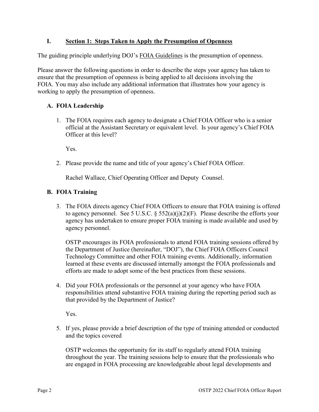## **I. Section 1: Steps Taken to Apply the Presumption of Openness**

The guiding principle underlying DOJ's [FOIA Guidelines](http://justice.gov/ag/foia-memo-march2009.pdf) is the presumption of openness.

Please answer the following questions in order to describe the steps your agency has taken to ensure that the presumption of openness is being applied to all decisions involving the FOIA. You may also include any additional information that illustrates how your agency is working to apply the presumption of openness.

## **A. FOIA Leadership**

1. The FOIA requires each agency to designate a Chief FOIA Officer who is a senior official at the Assistant Secretary or equivalent level. Is your agency's Chief FOIA Officer at this level?

Yes.

2. Please provide the name and title of your agency's Chief FOIA Officer.

Rachel Wallace, Chief Operating Officer and Deputy Counsel.

### **B. FOIA Training**

3. The FOIA directs agency Chief FOIA Officers to ensure that FOIA training is offered to agency personnel. See 5 U.S.C.  $\S$  552(a)(j)(2)(F). Please describe the efforts your agency has undertaken to ensure proper FOIA training is made available and used by agency personnel.

OSTP encourages its FOIA professionals to attend FOIA training sessions offered by the Department of Justice (hereinafter, "DOJ"), the Chief FOIA Officers Council Technology Committee and other FOIA training events. Additionally, information learned at these events are discussed internally amongst the FOIA professionals and efforts are made to adopt some of the best practices from these sessions.

4. Did your FOIA professionals or the personnel at your agency who have FOIA responsibilities attend substantive FOIA training during the reporting period such as that provided by the Department of Justice?

Yes.

5. If yes, please provide a brief description of the type of training attended or conducted and the topics covered

OSTP welcomes the opportunity for its staff to regularly attend FOIA training throughout the year. The training sessions help to ensure that the professionals who are engaged in FOIA processing are knowledgeable about legal developments and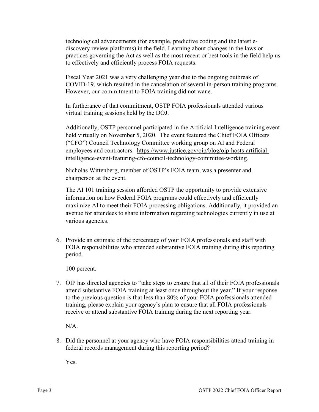technological advancements (for example, predictive coding and the latest ediscovery review platforms) in the field. Learning about changes in the laws or practices governing the Act as well as the most recent or best tools in the field help us to effectively and efficiently process FOIA requests.

Fiscal Year 2021 was a very challenging year due to the ongoing outbreak of COVID-19, which resulted in the cancelation of several in-person training programs. However, our commitment to FOIA training did not wane.

In furtherance of that commitment, OSTP FOIA professionals attended various virtual training sessions held by the DOJ.

Additionally, OSTP personnel participated in the Artificial Intelligence training event held virtually on November 5, 2020. The event featured the Chief FOIA Officers ("CFO") Council Technology Committee working group on AI and Federal employees and contractors. [https://www.justice.gov/oip/blog/oip-hosts-artificial](https://www.justice.gov/oip/blog/oip-hosts-artificial-intelligence-event-featuring-cfo-council-technology-committee-working)[intelligence-event-featuring-cfo-council-technology-committee-working.](https://www.justice.gov/oip/blog/oip-hosts-artificial-intelligence-event-featuring-cfo-council-technology-committee-working)

Nicholas Wittenberg, member of OSTP's FOIA team, was a presenter and chairperson at the event.

The AI 101 training session afforded OSTP the opportunity to provide extensive information on how Federal FOIA programs could effectively and efficiently maximize AI to meet their FOIA processing obligations. Additionally, it provided an avenue for attendees to share information regarding technologies currently in use at various agencies.

6. Provide an estimate of the percentage of your FOIA professionals and staff with FOIA responsibilities who attended substantive FOIA training during this reporting period.

100 percent.

7. OIP has [directed agencies](https://www.justice.gov/oip/oip-guidance-9) to "take steps to ensure that all of their FOIA professionals attend substantive FOIA training at least once throughout the year." If your response to the previous question is that less than 80% of your FOIA professionals attended training, please explain your agency's plan to ensure that all FOIA professionals receive or attend substantive FOIA training during the next reporting year.

N/A.

8. Did the personnel at your agency who have FOIA responsibilities attend training in federal records management during this reporting period?

Yes.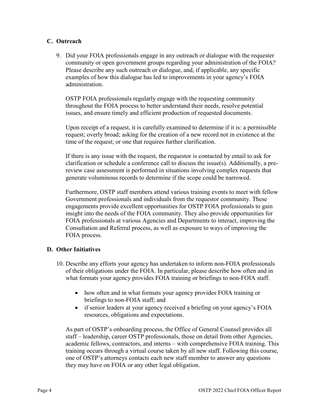## **C. Outreach**

9. Did your FOIA professionals engage in any outreach or dialogue with the requester community or open government groups regarding your administration of the FOIA? Please describe any such outreach or dialogue, and, if applicable, any specific examples of how this dialogue has led to improvements in your agency's FOIA administration.

OSTP FOIA professionals regularly engage with the requesting community throughout the FOIA process to better understand their needs, resolve potential issues, and ensure timely and efficient production of requested documents.

Upon receipt of a request, it is carefully examined to determine if it is: a permissible request; overly broad; asking for the creation of a new record not in existence at the time of the request; or one that requires further clarification.

If there is any issue with the request, the requestor is contacted by email to ask for clarification or schedule a conference call to discuss the issue(s). Additionally, a prereview case assessment is performed in situations involving complex requests that generate voluminous records to determine if the scope could be narrowed.

Furthermore, OSTP staff members attend various training events to meet with fellow Government professionals and individuals from the requestor community. These engagements provide excellent opportunities for OSTP FOIA professionals to gain insight into the needs of the FOIA community. They also provide opportunities for FOIA professionals at various Agencies and Departments to interact, improving the Consultation and Referral process, as well as exposure to ways of improving the FOIA process.

### **D. Other Initiatives**

- 10. Describe any efforts your agency has undertaken to inform non-FOIA professionals of their obligations under the FOIA. In particular, please describe how often and in what formats your agency provides FOIA training or briefings to non-FOIA staff.
	- how often and in what formats your agency provides FOIA training or briefings to non-FOIA staff; and
	- if senior leaders at your agency received a briefing on your agency's FOIA resources, obligations and expectations.

As part of OSTP's onboarding process, the Office of General Counsel provides all staff – leadership, career OSTP professionals, those on detail from other Agencies, academic fellows, contractors, and interns – with comprehensive FOIA training. This training occurs through a virtual course taken by all new staff. Following this course, one of OSTP's attorneys contacts each new staff member to answer any questions they may have on FOIA or any other legal obligation.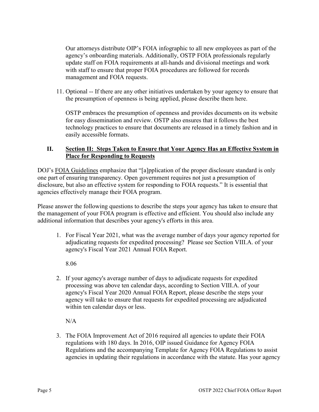Our attorneys distribute OIP's FOIA infographic to all new employees as part of the agency's onboarding materials. Additionally, OSTP FOIA professionals regularly update staff on FOIA requirements at all-hands and divisional meetings and work with staff to ensure that proper FOIA procedures are followed for records management and FOIA requests.

11. Optional -- If there are any other initiatives undertaken by your agency to ensure that the presumption of openness is being applied, please describe them here.

OSTP embraces the presumption of openness and provides documents on its website for easy dissemination and review. OSTP also ensures that it follows the best technology practices to ensure that documents are released in a timely fashion and in easily accessible formats.

## **II. Section II: Steps Taken to Ensure that Your Agency Has an Effective System in Place for Responding to Requests**

DOJ's [FOIA Guidelines](http://justice.gov/ag/foia-memo-march2009.pdf) emphasize that "[a]pplication of the proper disclosure standard is only one part of ensuring transparency. Open government requires not just a presumption of disclosure, but also an effective system for responding to FOIA requests." It is essential that agencies effectively manage their FOIA program.

Please answer the following questions to describe the steps your agency has taken to ensure that the management of your FOIA program is effective and efficient. You should also include any additional information that describes your agency's efforts in this area.

1. For Fiscal Year 2021, what was the average number of days your agency reported for adjudicating requests for expedited processing? Please see Section VIII.A. of your agency's Fiscal Year 2021 Annual FOIA Report.

8.06

2. If your agency's average number of days to adjudicate requests for expedited processing was above ten calendar days, according to Section VIII.A. of your agency's Fiscal Year 2020 Annual FOIA Report, please describe the steps your agency will take to ensure that requests for expedited processing are adjudicated within ten calendar days or less.

N/A

3. The FOIA Improvement Act of 2016 required all agencies to update their FOIA regulations with 180 days. In 2016, OIP issued Guidance for Agency FOIA Regulations and the accompanying Template for Agency FOIA Regulations to assist agencies in updating their regulations in accordance with the statute. Has your agency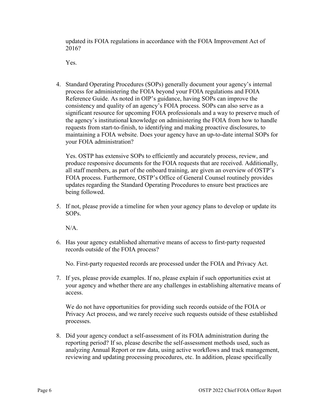updated its FOIA regulations in accordance with the FOIA Improvement Act of 2016?

Yes.

4. Standard Operating Procedures (SOPs) generally document your agency's internal process for administering the FOIA beyond your FOIA regulations and FOIA Reference Guide. As noted in OIP's guidance, having SOPs can improve the consistency and quality of an agency's FOIA process. SOPs can also serve as a significant resource for upcoming FOIA professionals and a way to preserve much of the agency's institutional knowledge on administering the FOIA from how to handle requests from start-to-finish, to identifying and making proactive disclosures, to maintaining a FOIA website. Does your agency have an up-to-date internal SOPs for your FOIA administration?

Yes. OSTP has extensive SOPs to efficiently and accurately process, review, and produce responsive documents for the FOIA requests that are received. Additionally, all staff members, as part of the onboard training, are given an overview of OSTP's FOIA process. Furthermore, OSTP's Office of General Counsel routinely provides updates regarding the Standard Operating Procedures to ensure best practices are being followed.

5. If not, please provide a timeline for when your agency plans to develop or update its SOPs.

 $N/A$ .

6. Has your agency established alternative means of access to first-party requested records outside of the FOIA process?

No. First-party requested records are processed under the FOIA and Privacy Act.

7. If yes, please provide examples. If no, please explain if such opportunities exist at your agency and whether there are any challenges in establishing alternative means of access.

We do not have opportunities for providing such records outside of the FOIA or Privacy Act process, and we rarely receive such requests outside of these established processes.

8. Did your agency conduct a self-assessment of its FOIA administration during the reporting period? If so, please describe the self-assessment methods used, such as analyzing Annual Report or raw data, using active workflows and track management, reviewing and updating processing procedures, etc. In addition, please specifically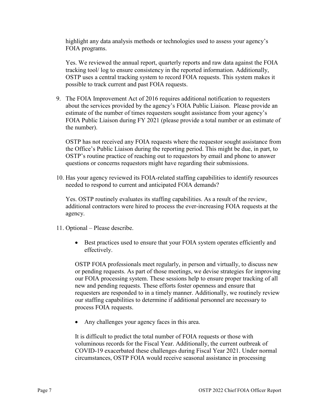highlight any data analysis methods or technologies used to assess your agency's FOIA programs.

Yes. We reviewed the annual report, quarterly reports and raw data against the FOIA tracking tool/ log to ensure consistency in the reported information. Additionally, OSTP uses a central tracking system to record FOIA requests. This system makes it possible to track current and past FOIA requests.

9. The FOIA Improvement Act of 2016 requires additional notification to requesters about the services provided by the agency's FOIA Public Liaison. Please provide an estimate of the number of times requesters sought assistance from your agency's FOIA Public Liaison during FY 2021 (please provide a total number or an estimate of the number).

OSTP has not received any FOIA requests where the requestor sought assistance from the Office's Public Liaison during the reporting period. This might be due, in part, to OSTP's routine practice of reaching out to requestors by email and phone to answer questions or concerns requestors might have regarding their submissions.

10. Has your agency reviewed its FOIA-related staffing capabilities to identify resources needed to respond to current and anticipated FOIA demands?

Yes. OSTP routinely evaluates its staffing capabilities. As a result of the review, additional contractors were hired to process the ever-increasing FOIA requests at the agency.

- 11. Optional Please describe.
	- Best practices used to ensure that your FOIA system operates efficiently and effectively.

OSTP FOIA professionals meet regularly, in person and virtually, to discuss new or pending requests. As part of those meetings, we devise strategies for improving our FOIA processing system. These sessions help to ensure proper tracking of all new and pending requests. These efforts foster openness and ensure that requesters are responded to in a timely manner. Additionally, we routinely review our staffing capabilities to determine if additional personnel are necessary to process FOIA requests.

Any challenges your agency faces in this area.

It is difficult to predict the total number of FOIA requests or those with voluminous records for the Fiscal Year. Additionally, the current outbreak of COVID-19 exacerbated these challenges during Fiscal Year 2021. Under normal circumstances, OSTP FOIA would receive seasonal assistance in processing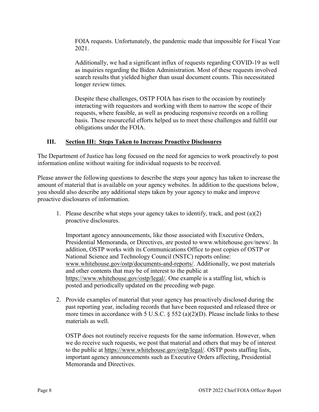FOIA requests. Unfortunately, the pandemic made that impossible for Fiscal Year 2021.

Additionally, we had a significant influx of requests regarding COVID-19 as well as inquiries regarding the Biden Administration. Most of these requests involved search results that yielded higher than usual document counts. This necessitated longer review times.

Despite these challenges, OSTP FOIA has risen to the occasion by routinely interacting with requestors and working with them to narrow the scope of their requests, where feasible, as well as producing responsive records on a rolling basis. These resourceful efforts helped us to meet these challenges and fulfill our obligations under the FOIA.

### **III. Section III: Steps Taken to Increase Proactive Disclosures**

The Department of Justice has long focused on the need for agencies to work proactively to post information online without waiting for individual requests to be received.

Please answer the following questions to describe the steps your agency has taken to increase the amount of material that is available on your agency websites. In addition to the questions below, you should also describe any additional steps taken by your agency to make and improve proactive disclosures of information.

1. Please describe what steps your agency takes to identify, track, and post (a)(2) proactive disclosures.

Important agency announcements, like those associated with Executive Orders, Presidential Memoranda, or Directives, are posted to www.whitehouse.gov/news/. In addition, OSTP works with its Communications Office to post copies of OSTP or National Science and Technology Council (NSTC) reports online: [www.whitehouse.gov/ostp/documents-and-reports/.](http://www.whitehouse.gov/ostp/documents-and-reports/) Additionally, we post materials and other contents that may be of interest to the public at [https://www.whitehouse.gov/ostp/legal/.](https://www.whitehouse.gov/ostp/legal/) One example is a staffing list, which is posted and periodically updated on the preceding web page.

2. Provide examples of material that your agency has proactively disclosed during the past reporting year, including records that have been requested and released three or more times in accordance with 5 U.S.C.  $\S$  552 (a)(2)(D). Please include links to these materials as well.

OSTP does not routinely receive requests for the same information. However, when we do receive such requests, we post that material and others that may be of interest to the public at [https://www.whitehouse.gov/ostp/legal/.](https://www.whitehouse.gov/ostp/legal/) OSTP posts staffing lists, important agency announcements such as Executive Orders affecting, Presidential Memoranda and Directives.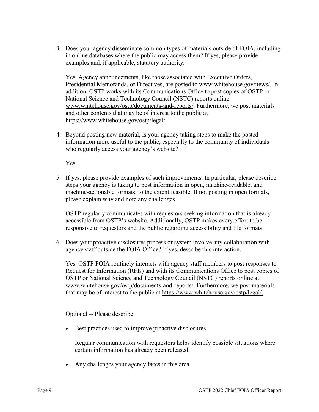3. Does your agency disseminate common types of materials outside of FOIA, including in online databases where the public may access them? If yes, please provide examples and, if applicable, statutory authority.

Yes. Agency announcements, like those associated with Executive Orders, Presidential Memoranda, or Directives, are posted to www.whitehouse.gov/news/. In addition, OSTP works with its Communications Office to post copies of OSTP or National Science and Technology Council (NSTC) reports online: [www.whitehouse.gov/ostp/documents-and-reports/.](http://www.whitehouse.gov/ostp/documents-and-reports/) Furthermore, we post materials and other contents that may be of interest to the public at [https://www.whitehouse.gov/ostp/legal/.](https://www.whitehouse.gov/ostp/legal/)

4. Beyond posting new material, is your agency taking steps to make the posted information more useful to the public, especially to the community of individuals who regularly access your agency's website?

Yes.

5. If yes, please provide examples of such improvements. In particular, please describe steps your agency is taking to post information in open, machine-readable, and machine-actionable formats, to the extent feasible. If not posting in open formats, please explain why and note any challenges.

OSTP regularly communicates with requestors seeking information that is already accessible from OSTP's website. Additionally, OSTP makes every effort to be responsive to requestors and the public regarding accessibility and file formats.

6. Does your proactive disclosures process or system involve any collaboration with agency staff outside the FOIA Office? If yes, describe this interaction.

Yes. OSTP FOIA routinely interacts with agency staff members to post responses to Request for Information (RFIs) and with its Communications Office to post copies of OSTP or National Science and Technology Council (NSTC) reports online at: [www.whitehouse.gov/ostp/documents-and-reports/.](http://www.whitehouse.gov/ostp/documents-and-reports/) Furthermore, we post materials that may be of interest to the public at [https://www.whitehouse.gov/ostp/legal/.](https://www.whitehouse.gov/ostp/legal/)

Optional -- Please describe:

Best practices used to improve proactive disclosures

Regular communication with requestors helps identify possible situations where certain information has already been released.

• Any challenges your agency faces in this area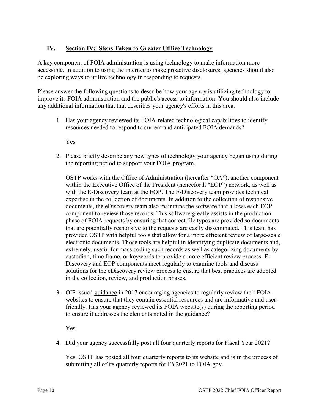## **IV. Section IV: Steps Taken to Greater Utilize Technology**

A key component of FOIA administration is using technology to make information more accessible. In addition to using the internet to make proactive disclosures, agencies should also be exploring ways to utilize technology in responding to requests.

Please answer the following questions to describe how your agency is utilizing technology to improve its FOIA administration and the public's access to information. You should also include any additional information that that describes your agency's efforts in this area.

1. Has your agency reviewed its FOIA-related technological capabilities to identify resources needed to respond to current and anticipated FOIA demands?

Yes.

2. Please briefly describe any new types of technology your agency began using during the reporting period to support your FOIA program.

OSTP works with the Office of Administration (hereafter "OA"), another component within the Executive Office of the President (henceforth "EOP") network, as well as with the E-Discovery team at the EOP. The E-Discovery team provides technical expertise in the collection of documents. In addition to the collection of responsive documents, the eDiscovery team also maintains the software that allows each EOP component to review those records. This software greatly assists in the production phase of FOIA requests by ensuring that correct file types are provided so documents that are potentially responsive to the requests are easily disseminated. This team has provided OSTP with helpful tools that allow for a more efficient review of large-scale electronic documents. Those tools are helpful in identifying duplicate documents and, extremely, useful for mass coding such records as well as categorizing documents by custodian, time frame, or keywords to provide a more efficient review process. E-Discovery and EOP components meet regularly to examine tools and discuss solutions for the eDiscovery review process to ensure that best practices are adopted in the collection, review, and production phases.

3. OIP issued [guidance](https://www.justice.gov/oip/oip-guidance/OIP%20Guidance%3A%20%20Agency%20FOIA%20Websites%202.0) in 2017 encouraging agencies to regularly review their FOIA websites to ensure that they contain essential resources and are informative and userfriendly. Has your agency reviewed its FOIA website(s) during the reporting period to ensure it addresses the elements noted in the guidance?

Yes.

4. Did your agency successfully post all four quarterly reports for Fiscal Year 2021?

Yes. OSTP has posted all four quarterly reports to its website and is in the process of submitting all of its quarterly reports for FY2021 to FOIA.gov.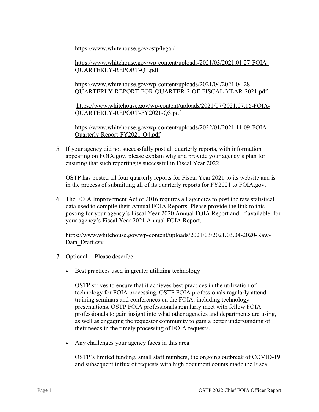<https://www.whitehouse.gov/ostp/legal/>

[https://www.whitehouse.gov/wp-content/uploads/2021/03/2021.01.27-FOIA-](https://www.whitehouse.gov/wp-content/uploads/2021/03/2021.01.27-FOIA-QUARTERLY-REPORT-Q1.pdf)[QUARTERLY-REPORT-Q1.pdf](https://www.whitehouse.gov/wp-content/uploads/2021/03/2021.01.27-FOIA-QUARTERLY-REPORT-Q1.pdf)

[https://www.whitehouse.gov/wp-content/uploads/2021/04/2021.04.28-](https://www.whitehouse.gov/wp-content/uploads/2021/04/2021.04.28-QUARTERLY-REPORT-FOR-QUARTER-2-OF-FISCAL-YEAR-2021.pdf) [QUARTERLY-REPORT-FOR-QUARTER-2-OF-FISCAL-YEAR-2021.pdf](https://www.whitehouse.gov/wp-content/uploads/2021/04/2021.04.28-QUARTERLY-REPORT-FOR-QUARTER-2-OF-FISCAL-YEAR-2021.pdf)

[https://www.whitehouse.gov/wp-content/uploads/2021/07/2021.07.16-FOIA-](https://www.whitehouse.gov/wp-content/uploads/2021/07/2021.07.16-FOIA-QUARTERLY-REPORT-FY2021-Q3.pdf)[QUARTERLY-REPORT-FY2021-Q3.pdf](https://www.whitehouse.gov/wp-content/uploads/2021/07/2021.07.16-FOIA-QUARTERLY-REPORT-FY2021-Q3.pdf)

[https://www.whitehouse.gov/wp-content/uploads/2022/01/2021.11.09-FOIA-](https://www.whitehouse.gov/wp-content/uploads/2022/01/2021.11.09-FOIA-Quarterly-Report-FY2021-Q4.pdf)[Quarterly-Report-FY2021-Q4.pdf](https://www.whitehouse.gov/wp-content/uploads/2022/01/2021.11.09-FOIA-Quarterly-Report-FY2021-Q4.pdf)

5. If your agency did not successfully post all quarterly reports, with information appearing on FOIA.gov, please explain why and provide your agency's plan for ensuring that such reporting is successful in Fiscal Year 2022.

OSTP has posted all four quarterly reports for Fiscal Year 2021 to its website and is in the process of submitting all of its quarterly reports for FY2021 to FOIA.gov.

6. The FOIA Improvement Act of 2016 requires all agencies to post the raw statistical data used to compile their Annual FOIA Reports. Please provide the link to this posting for your agency's Fiscal Year 2020 Annual FOIA Report and, if available, for your agency's Fiscal Year 2021 Annual FOIA Report.

[https://www.whitehouse.gov/wp-content/uploads/2021/03/2021.03.04-2020-Raw-](https://www.whitehouse.gov/wp-content/uploads/2021/03/2021.03.04-2020-Raw-Data_Draft.csv)Data Draft.csv

- 7. Optional -- Please describe:
	- Best practices used in greater utilizing technology

OSTP strives to ensure that it achieves best practices in the utilization of technology for FOIA processing. OSTP FOIA professionals regularly attend training seminars and conferences on the FOIA, including technology presentations. OSTP FOIA professionals regularly meet with fellow FOIA professionals to gain insight into what other agencies and departments are using, as well as engaging the requestor community to gain a better understanding of their needs in the timely processing of FOIA requests.

• Any challenges your agency faces in this area

OSTP's limited funding, small staff numbers, the ongoing outbreak of COVID-19 and subsequent influx of requests with high document counts made the Fiscal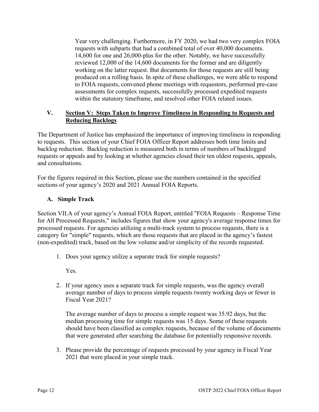Year very challenging. Furthermore, in FY 2020, we had two very complex FOIA requests with subparts that had a combined total of over 40,000 documents. 14,600 for one and 26,000-plus for the other. Notably, we have successfully reviewed 12,000 of the 14,600 documents for the former and are diligently working on the latter request. But documents for those requests are still being produced on a rolling basis. In spite of these challenges, we were able to respond to FOIA requests, convened phone meetings with requestors, performed pre-case assessments for complex requests, successfully processed expedited requests within the statutory timeframe, and resolved other FOIA related issues.

## **V. Section V: Steps Taken to Improve Timeliness in Responding to Requests and Reducing Backlogs**

The Department of Justice has emphasized the importance of improving timeliness in responding to requests. This section of your Chief FOIA Officer Report addresses both time limits and backlog reduction. Backlog reduction is measured both in terms of numbers of backlogged requests or appeals and by looking at whether agencies closed their ten oldest requests, appeals, and consultations.

For the figures required in this Section, please use the numbers contained in the specified sections of your agency's 2020 and 2021 Annual FOIA Reports.

## **A. Simple Track**

Section VII.A of your agency's Annual FOIA Report, entitled "FOIA Requests – Response Time for All Processed Requests," includes figures that show your agency's average response times for processed requests. For agencies utilizing a multi-track system to process requests, there is a category for "simple" requests, which are those requests that are placed in the agency's fastest (non-expedited) track, based on the low volume and/or simplicity of the records requested.

1. Does your agency utilize a separate track for simple requests?

Yes.

2. If your agency uses a separate track for simple requests, was the agency overall average number of days to process simple requests twenty working days or fewer in Fiscal Year 2021?

The average number of days to process a simple request was 35.92 days, but the median processing time for simple requests was 15 days. Some of these requests should have been classified as complex requests, because of the volume of documents that were generated after searching the database for potentially responsive records.

3. Please provide the percentage of requests processed by your agency in Fiscal Year 2021 that were placed in your simple track.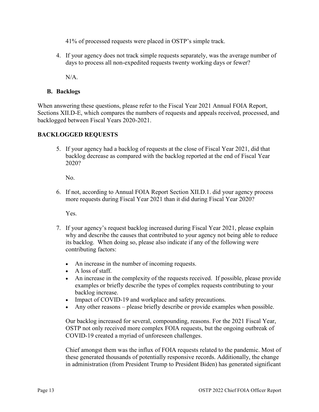41% of processed requests were placed in OSTP's simple track.

4. If your agency does not track simple requests separately, was the average number of days to process all non-expedited requests twenty working days or fewer?

N/A.

## **B. Backlogs**

When answering these questions, please refer to the Fiscal Year 2021 Annual FOIA Report, Sections XII.D-E, which compares the numbers of requests and appeals received, processed, and backlogged between Fiscal Years 2020-2021.

## **BACKLOGGED REQUESTS**

5. If your agency had a backlog of requests at the close of Fiscal Year 2021, did that backlog decrease as compared with the backlog reported at the end of Fiscal Year 2020?

No.

6. If not, according to Annual FOIA Report Section XII.D.1. did your agency process more requests during Fiscal Year 2021 than it did during Fiscal Year 2020?

Yes.

- 7. If your agency's request backlog increased during Fiscal Year 2021, please explain why and describe the causes that contributed to your agency not being able to reduce its backlog. When doing so, please also indicate if any of the following were contributing factors:
	- An increase in the number of incoming requests.
	- A loss of staff.
	- An increase in the complexity of the requests received. If possible, please provide examples or briefly describe the types of complex requests contributing to your backlog increase.
	- Impact of COVID-19 and workplace and safety precautions.
	- Any other reasons please briefly describe or provide examples when possible.

Our backlog increased for several, compounding, reasons. For the 2021 Fiscal Year, OSTP not only received more complex FOIA requests, but the ongoing outbreak of COVID-19 created a myriad of unforeseen challenges.

Chief amongst them was the influx of FOIA requests related to the pandemic. Most of these generated thousands of potentially responsive records. Additionally, the change in administration (from President Trump to President Biden) has generated significant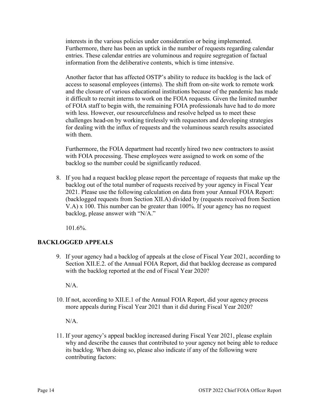interests in the various policies under consideration or being implemented. Furthermore, there has been an uptick in the number of requests regarding calendar entries. These calendar entries are voluminous and require segregation of factual information from the deliberative contents, which is time intensive.

Another factor that has affected OSTP's ability to reduce its backlog is the lack of access to seasonal employees (interns). The shift from on-site work to remote work and the closure of various educational institutions because of the pandemic has made it difficult to recruit interns to work on the FOIA requests. Given the limited number of FOIA staff to begin with, the remaining FOIA professionals have had to do more with less. However, our resourcefulness and resolve helped us to meet these challenges head-on by working tirelessly with requestors and developing strategies for dealing with the influx of requests and the voluminous search results associated with them.

Furthermore, the FOIA department had recently hired two new contractors to assist with FOIA processing. These employees were assigned to work on some of the backlog so the number could be significantly reduced.

8. If you had a request backlog please report the percentage of requests that make up the backlog out of the total number of requests received by your agency in Fiscal Year 2021. Please use the following calculation on data from your Annual FOIA Report: (backlogged requests from Section XII.A) divided by (requests received from Section V.A) x 100. This number can be greater than 100%. If your agency has no request backlog, please answer with "N/A."

101.6%.

## **BACKLOGGED APPEALS**

9. If your agency had a backlog of appeals at the close of Fiscal Year 2021, according to Section XII.E.2. of the Annual FOIA Report, did that backlog decrease as compared with the backlog reported at the end of Fiscal Year 2020?

N/A.

10. If not, according to XII.E.1 of the Annual FOIA Report, did your agency process more appeals during Fiscal Year 2021 than it did during Fiscal Year 2020?

N/A.

11. If your agency's appeal backlog increased during Fiscal Year 2021, please explain why and describe the causes that contributed to your agency not being able to reduce its backlog. When doing so, please also indicate if any of the following were contributing factors: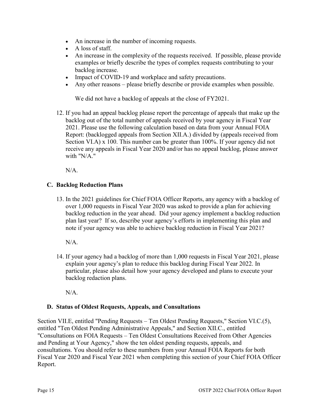- An increase in the number of incoming requests.
- A loss of staff.
- An increase in the complexity of the requests received. If possible, please provide examples or briefly describe the types of complex requests contributing to your backlog increase.
- Impact of COVID-19 and workplace and safety precautions.
- Any other reasons please briefly describe or provide examples when possible.

We did not have a backlog of appeals at the close of  $FY2021$ .

12. If you had an appeal backlog please report the percentage of appeals that make up the backlog out of the total number of appeals received by your agency in Fiscal Year 2021. Please use the following calculation based on data from your Annual FOIA Report: (backlogged appeals from Section XII.A.) divided by (appeals received from Section VI.A) x 100. This number can be greater than 100%. If your agency did not receive any appeals in Fiscal Year 2020 and/or has no appeal backlog, please answer with "N/A."

N/A.

## **C. Backlog Reduction Plans**

13. In the 2021 guidelines for Chief FOIA Officer Reports, any agency with a backlog of over 1,000 requests in Fiscal Year 2020 was asked to provide a plan for achieving backlog reduction in the year ahead. Did your agency implement a backlog reduction plan last year? If so, describe your agency's efforts in implementing this plan and note if your agency was able to achieve backlog reduction in Fiscal Year 2021?

N/A.

14. If your agency had a backlog of more than 1,000 requests in Fiscal Year 2021, please explain your agency's plan to reduce this backlog during Fiscal Year 2022. In particular, please also detail how your agency developed and plans to execute your backlog redaction plans.

N/A.

### **D. Status of Oldest Requests, Appeals, and Consultations**

Section VII.E, entitled "Pending Requests – Ten Oldest Pending Requests," Section VI.C.(5), entitled "Ten Oldest Pending Administrative Appeals," and Section XII.C., entitled "Consultations on FOIA Requests – Ten Oldest Consultations Received from Other Agencies and Pending at Your Agency," show the ten oldest pending requests, appeals, and consultations. You should refer to these numbers from your Annual FOIA Reports for both Fiscal Year 2020 and Fiscal Year 2021 when completing this section of your Chief FOIA Officer Report.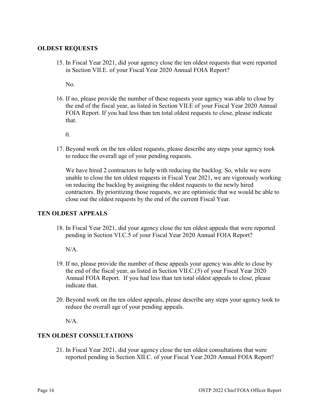#### **OLDEST REQUESTS**

15. In Fiscal Year 2021, did your agency close the ten oldest requests that were reported in Section VII.E. of your Fiscal Year 2020 Annual FOIA Report?

No.

16. If no, please provide the number of these requests your agency was able to close by the end of the fiscal year, as listed in Section VII.E of your Fiscal Year 2020 Annual FOIA Report. If you had less than ten total oldest requests to close, please indicate that.

0.

17. Beyond work on the ten oldest requests, please describe any steps your agency took to reduce the overall age of your pending requests.

We have hired 2 contractors to help with reducing the backlog. So, while we were unable to close the ten oldest requests in Fiscal Year 2021, we are vigorously working on reducing the backlog by assigning the oldest requests to the newly hired contractors. By prioritizing those requests, we are optimistic that we would be able to close out the oldest requests by the end of the current Fiscal Year.

#### **TEN OLDEST APPEALS**

18. In Fiscal Year 2021, did your agency close the ten oldest appeals that were reported pending in Section VI.C.5 of your Fiscal Year 2020 Annual FOIA Report?

 $N/A$ .

- 19. If no, please provide the number of these appeals your agency was able to close by the end of the fiscal year, as listed in Section VII.C.(5) of your Fiscal Year 2020 Annual FOIA Report. If you had less than ten total oldest appeals to close, please indicate that.
- 20. Beyond work on the ten oldest appeals, please describe any steps your agency took to reduce the overall age of your pending appeals.

N/A.

### **TEN OLDEST CONSULTATIONS**

21. In Fiscal Year 2021, did your agency close the ten oldest consultations that were reported pending in Section XII.C. of your Fiscal Year 2020 Annual FOIA Report?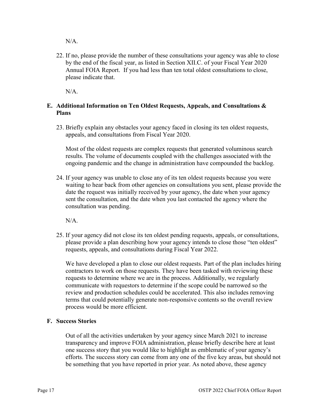N/A.

22. If no, please provide the number of these consultations your agency was able to close by the end of the fiscal year, as listed in Section XII.C. of your Fiscal Year 2020 Annual FOIA Report. If you had less than ten total oldest consultations to close, please indicate that.

N/A.

## **E. Additional Information on Ten Oldest Requests, Appeals, and Consultations & Plans**

23. Briefly explain any obstacles your agency faced in closing its ten oldest requests, appeals, and consultations from Fiscal Year 2020.

Most of the oldest requests are complex requests that generated voluminous search results. The volume of documents coupled with the challenges associated with the ongoing pandemic and the change in administration have compounded the backlog.

24. If your agency was unable to close any of its ten oldest requests because you were waiting to hear back from other agencies on consultations you sent, please provide the date the request was initially received by your agency, the date when your agency sent the consultation, and the date when you last contacted the agency where the consultation was pending.

N/A.

25. If your agency did not close its ten oldest pending requests, appeals, or consultations, please provide a plan describing how your agency intends to close those "ten oldest" requests, appeals, and consultations during Fiscal Year 2022.

We have developed a plan to close our oldest requests. Part of the plan includes hiring contractors to work on those requests. They have been tasked with reviewing these requests to determine where we are in the process. Additionally, we regularly communicate with requestors to determine if the scope could be narrowed so the review and production schedules could be accelerated. This also includes removing terms that could potentially generate non-responsive contents so the overall review process would be more efficient.

### **F. Success Stories**

Out of all the activities undertaken by your agency since March 2021 to increase transparency and improve FOIA administration, please briefly describe here at least one success story that you would like to highlight as emblematic of your agency's efforts. The success story can come from any one of the five key areas, but should not be something that you have reported in prior year. As noted above, these agency